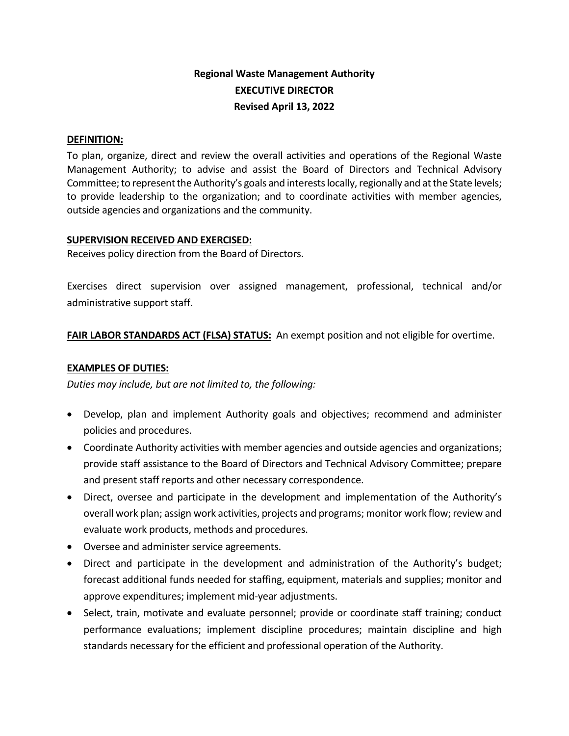# **Regional Waste Management Authority EXECUTIVE DIRECTOR Revised April 13, 2022**

#### **DEFINITION:**

To plan, organize, direct and review the overall activities and operations of the Regional Waste Management Authority; to advise and assist the Board of Directors and Technical Advisory Committee; to represent the Authority's goals and interests locally, regionally and at the State levels; to provide leadership to the organization; and to coordinate activities with member agencies, outside agencies and organizations and the community.

#### **SUPERVISION RECEIVED AND EXERCISED:**

Receives policy direction from the Board of Directors.

Exercises direct supervision over assigned management, professional, technical and/or administrative support staff.

**FAIR LABOR STANDARDS ACT (FLSA) STATUS:** An exempt position and not eligible for overtime.

#### **EXAMPLES OF DUTIES:**

*Duties may include, but are not limited to, the following:*

- Develop, plan and implement Authority goals and objectives; recommend and administer policies and procedures.
- Coordinate Authority activities with member agencies and outside agencies and organizations; provide staff assistance to the Board of Directors and Technical Advisory Committee; prepare and present staff reports and other necessary correspondence.
- Direct, oversee and participate in the development and implementation of the Authority's overall work plan; assign work activities, projects and programs; monitor work flow; review and evaluate work products, methods and procedures.
- Oversee and administer service agreements.
- Direct and participate in the development and administration of the Authority's budget; forecast additional funds needed for staffing, equipment, materials and supplies; monitor and approve expenditures; implement mid-year adjustments.
- Select, train, motivate and evaluate personnel; provide or coordinate staff training; conduct performance evaluations; implement discipline procedures; maintain discipline and high standards necessary for the efficient and professional operation of the Authority.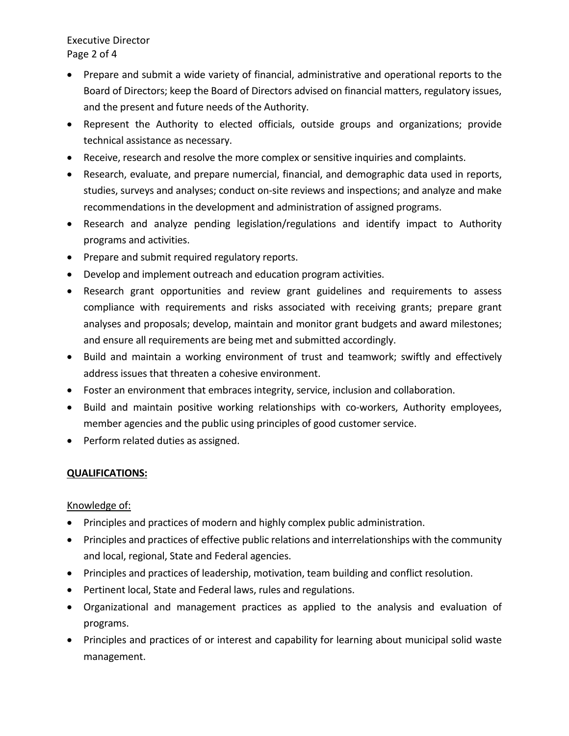Executive Director Page 2 of 4

- Prepare and submit a wide variety of financial, administrative and operational reports to the Board of Directors; keep the Board of Directors advised on financial matters, regulatory issues, and the present and future needs of the Authority.
- Represent the Authority to elected officials, outside groups and organizations; provide technical assistance as necessary.
- Receive, research and resolve the more complex or sensitive inquiries and complaints.
- Research, evaluate, and prepare numercial, financial, and demographic data used in reports, studies, surveys and analyses; conduct on-site reviews and inspections; and analyze and make recommendations in the development and administration of assigned programs.
- Research and analyze pending legislation/regulations and identify impact to Authority programs and activities.
- Prepare and submit required regulatory reports.
- Develop and implement outreach and education program activities.
- Research grant opportunities and review grant guidelines and requirements to assess compliance with requirements and risks associated with receiving grants; prepare grant analyses and proposals; develop, maintain and monitor grant budgets and award milestones; and ensure all requirements are being met and submitted accordingly.
- Build and maintain a working environment of trust and teamwork; swiftly and effectively address issues that threaten a cohesive environment.
- Foster an environment that embraces integrity, service, inclusion and collaboration.
- Build and maintain positive working relationships with co-workers, Authority employees, member agencies and the public using principles of good customer service.
- Perform related duties as assigned.

## **QUALIFICATIONS:**

## Knowledge of:

- Principles and practices of modern and highly complex public administration.
- Principles and practices of effective public relations and interrelationships with the community and local, regional, State and Federal agencies.
- Principles and practices of leadership, motivation, team building and conflict resolution.
- Pertinent local, State and Federal laws, rules and regulations.
- Organizational and management practices as applied to the analysis and evaluation of programs.
- Principles and practices of or interest and capability for learning about municipal solid waste management.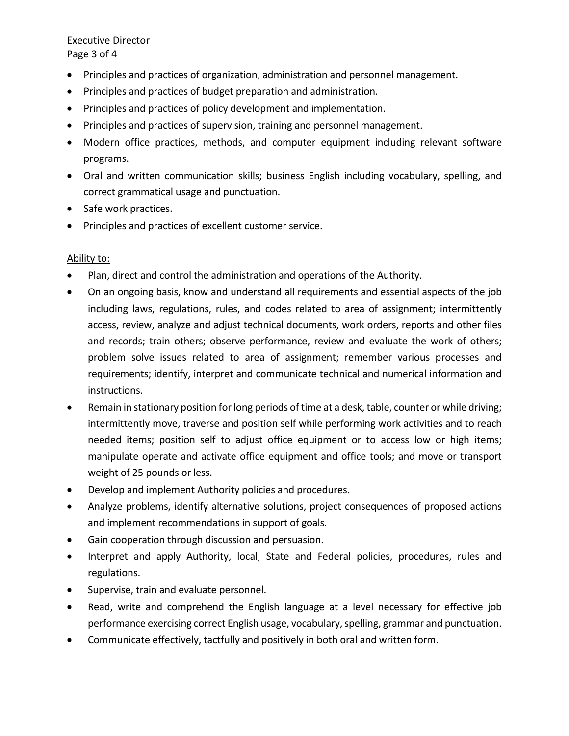Executive Director Page 3 of 4

- Principles and practices of organization, administration and personnel management.
- Principles and practices of budget preparation and administration.
- Principles and practices of policy development and implementation.
- Principles and practices of supervision, training and personnel management.
- Modern office practices, methods, and computer equipment including relevant software programs.
- Oral and written communication skills; business English including vocabulary, spelling, and correct grammatical usage and punctuation.
- Safe work practices.
- Principles and practices of excellent customer service.

#### Ability to:

- Plan, direct and control the administration and operations of the Authority.
- On an ongoing basis, know and understand all requirements and essential aspects of the job including laws, regulations, rules, and codes related to area of assignment; intermittently access, review, analyze and adjust technical documents, work orders, reports and other files and records; train others; observe performance, review and evaluate the work of others; problem solve issues related to area of assignment; remember various processes and requirements; identify, interpret and communicate technical and numerical information and instructions.
- Remain in stationary position for long periods of time at a desk, table, counter or while driving; intermittently move, traverse and position self while performing work activities and to reach needed items; position self to adjust office equipment or to access low or high items; manipulate operate and activate office equipment and office tools; and move or transport weight of 25 pounds or less.
- Develop and implement Authority policies and procedures.
- Analyze problems, identify alternative solutions, project consequences of proposed actions and implement recommendations in support of goals.
- Gain cooperation through discussion and persuasion.
- Interpret and apply Authority, local, State and Federal policies, procedures, rules and regulations.
- Supervise, train and evaluate personnel.
- Read, write and comprehend the English language at a level necessary for effective job performance exercising correct English usage, vocabulary, spelling, grammar and punctuation.
- Communicate effectively, tactfully and positively in both oral and written form.